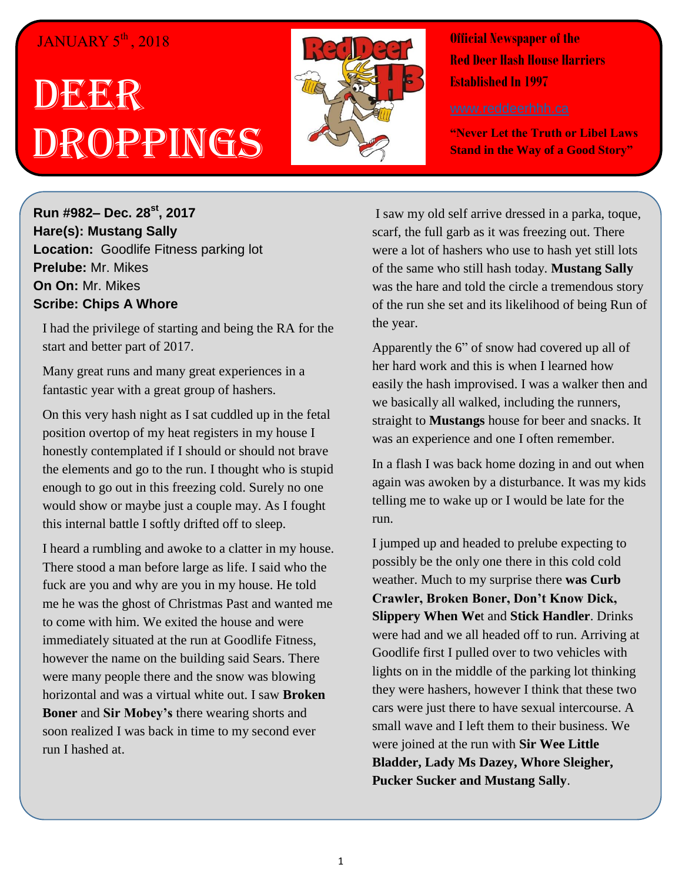## JANUARY 5<sup>th</sup>, 2018

## DEERR Droppings



**Official Newspaper of the Red Deer Hash House Harriers Established In 1997** 

**"Never Let the Truth or Libel Laws Stand in the Way of a Good Story"**

**Run #982– Dec. 28 st, 2017 Hare(s): Mustang Sally Location:** Goodlife Fitness parking lot **Prelube:** Mr. Mikes **On On:** Mr. Mikes **Scribe: Chips A Whore**

I had the privilege of starting and being the RA for the start and better part of 2017.

Many great runs and many great experiences in a fantastic year with a great group of hashers.

On this very hash night as I sat cuddled up in the fetal position overtop of my heat registers in my house I honestly contemplated if I should or should not brave the elements and go to the run. I thought who is stupid enough to go out in this freezing cold. Surely no one would show or maybe just a couple may. As I fought this internal battle I softly drifted off to sleep.

I heard a rumbling and awoke to a clatter in my house. There stood a man before large as life. I said who the fuck are you and why are you in my house. He told me he was the ghost of Christmas Past and wanted me to come with him. We exited the house and were immediately situated at the run at Goodlife Fitness, however the name on the building said Sears. There were many people there and the snow was blowing horizontal and was a virtual white out. I saw **Broken Boner** and **Sir Mobey's** there wearing shorts and soon realized I was back in time to my second ever run I hashed at.

I saw my old self arrive dressed in a parka, toque, scarf, the full garb as it was freezing out. There were a lot of hashers who use to hash yet still lots of the same who still hash today. **Mustang Sally** was the hare and told the circle a tremendous story of the run she set and its likelihood of being Run of the year.

Apparently the 6" of snow had covered up all of her hard work and this is when I learned how easily the hash improvised. I was a walker then and we basically all walked, including the runners, straight to **Mustangs** house for beer and snacks. It was an experience and one I often remember.

In a flash I was back home dozing in and out when again was awoken by a disturbance. It was my kids telling me to wake up or I would be late for the run.

I jumped up and headed to prelube expecting to possibly be the only one there in this cold cold weather. Much to my surprise there **was Curb Crawler, Broken Boner, Don't Know Dick, Slippery When We**t and **Stick Handler**. Drinks were had and we all headed off to run. Arriving at Goodlife first I pulled over to two vehicles with lights on in the middle of the parking lot thinking they were hashers, however I think that these two cars were just there to have sexual intercourse. A small wave and I left them to their business. We were joined at the run with **Sir Wee Little Bladder, Lady Ms Dazey, Whore Sleigher, Pucker Sucker and Mustang Sally**.